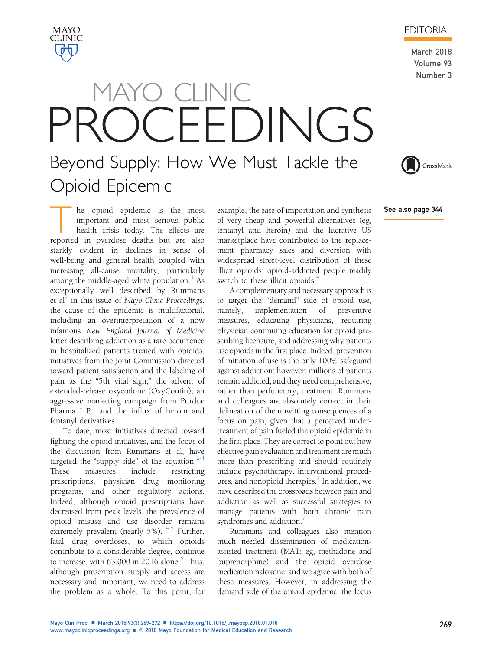he opioid epidemic is the most important and most serious public health crisis today. The effects are reported in overdose deaths but are also starkly evident in declines in sense of well-being and general health coupled with increasing all-cause mortality, particularly among the middle-aged white population. $<sup>1</sup>$  $<sup>1</sup>$  $<sup>1</sup>$  As</sup> exceptionally well described by Rummans et al<sup>2</sup> in this issue of Mayo Clinic Proceedings, the cause of the epidemic is multifactorial, including an overinterpretation of a now infamous New England Journal of Medicine letter describing addiction as a rare occurrence in hospitalized patients treated with opioids, initiatives from the Joint Commission directed toward patient satisfaction and the labeling of pain as the "5th vital sign," the advent of extended-release oxycodone (OxyContin), an aggressive marketing campaign from Purdue Pharma L.P., and the influx of heroin and fentanyl derivatives.

To date, most initiatives directed toward fighting the opioid initiatives, and the focus of the discussion from Rummans et al, have targeted the "supply side" of the equation. $2-4$ These measures include restricting prescriptions, physician drug monitoring programs, and other regulatory actions. Indeed, although opioid prescriptions have decreased from peak levels, the prevalence of opioid misuse and use disorder remains extremely prevalent (nearly 5%).  $4.5$  Further, fatal drug overdoses, to which opioids contribute to a considerable degree, continue to increase, with  $63,000$  $63,000$  in 2016 alone.<sup>6</sup> Thus, although prescription supply and access are necessary and important, we need to address the problem as a whole. To this point, for

example, the ease of importation and synthesis of very cheap and powerful alternatives (eg, fentanyl and heroin) and the lucrative US marketplace have contributed to the replacement pharmacy sales and diversion with widespread street-level distribution of these illicit opioids; opioid-addicted people readily switch to these illicit opioids.<sup>[4](#page-2-0)</sup>

A complementary and necessary approach is to target the "demand" side of opioid use, namely, implementation of preventive measures, educating physicians, requiring physician continuing education for opioid prescribing licensure, and addressing why patients use opioids in the first place. Indeed, prevention of initiation of use is the only 100% safeguard against addiction; however, millions of patients remain addicted, and they need comprehensive, rather than perfunctory, treatment. Rummans and colleagues are absolutely correct in their delineation of the unwitting consequences of a focus on pain, given that a perceived undertreatment of pain fueled the opioid epidemic in the first place. They are correct to point out how effective pain evaluation and treatment are much more than prescribing and should routinely include psychotherapy, interventional procedures, and nonopioid therapies. $<sup>2</sup>$  In addition, we</sup> have described the crossroads between pain and addiction as well as successful strategies to manage patients with both chronic pain syndromes and addiction.<sup>[7](#page-2-0)</sup>

Rummans and colleagues also mention much needed dissemination of medicationassisted treatment (MAT; eg, methadone and buprenorphine) and the opioid overdose medication naloxone, and we agree with both of these measures. However, in addressing the demand side of the opioid epidemic, the focus

## MAYO CLINIC OCEEDINGS Beyond Supply: How We Must Tackle the Opioid Epidemic

March 2018 Volume 93 Number 3

See also page 344





CrossMark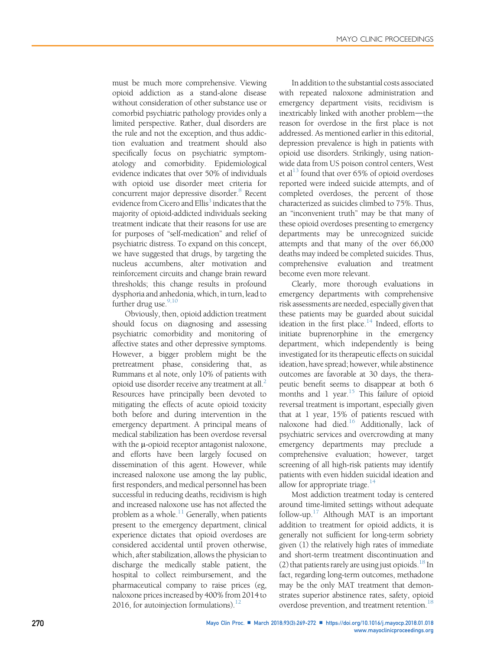must be much more comprehensive. Viewing opioid addiction as a stand-alone disease without consideration of other substance use or comorbid psychiatric pathology provides only a limited perspective. Rather, dual disorders are the rule and not the exception, and thus addiction evaluation and treatment should also specifically focus on psychiatric symptomatology and comorbidity. Epidemiological evidence indicates that over 50% of individuals with opioid use disorder meet criteria for concurrent major depressive disorder.<sup>8</sup> Recent evidence from Cicero and Ellis<sup>3</sup> indicates that the majority of opioid-addicted individuals seeking treatment indicate that their reasons for use are for purposes of "self-medication" and relief of psychiatric distress. To expand on this concept, we have suggested that drugs, by targeting the nucleus accumbens, alter motivation and reinforcement circuits and change brain reward thresholds; this change results in profound dysphoria and anhedonia, which, in turn, lead to further drug use. $9,10$ 

Obviously, then, opioid addiction treatment should focus on diagnosing and assessing psychiatric comorbidity and monitoring of affective states and other depressive symptoms. However, a bigger problem might be the pretreatment phase, considering that, as Rummans et al note, only 10% of patients with opioid use disorder receive any treatment at all.<sup>[2](#page-2-0)</sup> Resources have principally been devoted to mitigating the effects of acute opioid toxicity both before and during intervention in the emergency department. A principal means of medical stabilization has been overdose reversal with the  $\mu$ -opioid receptor antagonist naloxone, and efforts have been largely focused on dissemination of this agent. However, while increased naloxone use among the lay public, first responders, and medical personnel has been successful in reducing deaths, recidivism is high and increased naloxone use has not affected the problem as a whole. $^{11}$  $^{11}$  $^{11}$  Generally, when patients present to the emergency department, clinical experience dictates that opioid overdoses are considered accidental until proven otherwise, which, after stabilization, allows the physician to discharge the medically stable patient, the hospital to collect reimbursement, and the pharmaceutical company to raise prices (eg, naloxone prices increased by 400% from 2014to 2016, for autoinjection formulations). $^{12}$  $^{12}$  $^{12}$ 

In addition to the substantial costs associated with repeated naloxone administration and emergency department visits, recidivism is inextricably linked with another problem-the reason for overdose in the first place is not addressed. As mentioned earlier in this editorial, depression prevalence is high in patients with opioid use disorders. Strikingly, using nationwide data from US poison control centers, West et al<sup>13</sup> found that over 65% of opioid overdoses reported were indeed suicide attempts, and of completed overdoses, the percent of those characterized as suicides climbed to 75%. Thus, an "inconvenient truth" may be that many of these opioid overdoses presenting to emergency departments may be unrecognized suicide attempts and that many of the over 66,000 deaths may indeed be completed suicides. Thus, comprehensive evaluation and treatment become even more relevant.

Clearly, more thorough evaluations in emergency departments with comprehensive risk assessments are needed, especially given that these patients may be guarded about suicidal ideation in the first place. $14$  Indeed, efforts to initiate buprenorphine in the emergency department, which independently is being investigated for its therapeutic effects on suicidal ideation, have spread; however, while abstinence outcomes are favorable at 30 days, the therapeutic benefit seems to disappear at both 6 months and 1 year.<sup>15</sup> This failure of opioid reversal treatment is important, especially given that at 1 year, 15% of patients rescued with naloxone had died[.16](#page-3-0) Additionally, lack of psychiatric services and overcrowding at many emergency departments may preclude a comprehensive evaluation; however, target screening of all high-risk patients may identify patients with even hidden suicidal ideation and allow for appropriate triage. $14$ 

Most addiction treatment today is centered around time-limited settings without adequate follow-up. $17$  Although MAT is an important addition to treatment for opioid addicts, it is generally not sufficient for long-term sobriety given (1) the relatively high rates of immediate and short-term treatment discontinuation and (2) that patients rarely are using just opioids.<sup>18</sup> In fact, regarding long-term outcomes, methadone may be the only MAT treatment that demonstrates superior abstinence rates, safety, opioid overdose prevention, and treatment retention.<sup>[18](#page-3-0)</sup>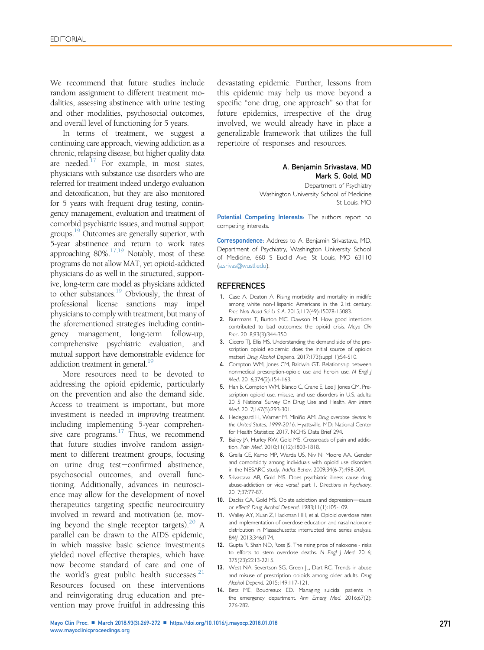<span id="page-2-0"></span>We recommend that future studies include random assignment to different treatment modalities, assessing abstinence with urine testing and other modalities, psychosocial outcomes, and overall level of functioning for 5 years.

In terms of treatment, we suggest a continuing care approach, viewing addiction as a chronic, relapsing disease, but higher quality data are needed. $17$  For example, in most states, physicians with substance use disorders who are referred for treatment indeed undergo evaluation and detoxification, but they are also monitored for 5 years with frequent drug testing, contingency management, evaluation and treatment of comorbid psychiatric issues, and mutual support groups.<sup>19</sup> Outcomes are generally superior, with 5-year abstinence and return to work rates approaching  $80\%$ .<sup>17,19</sup> Notably, most of these programs do not allow MAT, yet opioid-addicted physicians do as well in the structured, supportive, long-term care model as physicians addicted to other substances.<sup>[19](#page-3-0)</sup> Obviously, the threat of professional license sanctions may impel physicians to comply with treatment, but many of the aforementioned strategies including contingency management, long-term follow-up, comprehensive psychiatric evaluation, and mutual support have demonstrable evidence for addiction treatment in general.<sup>[19](#page-3-0)</sup>

More resources need to be devoted to addressing the opioid epidemic, particularly on the prevention and also the demand side. Access to treatment is important, but more investment is needed in improving treatment including implementing 5-year comprehensive care programs. $17$  Thus, we recommend that future studies involve random assignment to different treatment groups, focusing on urine drug test-confirmed abstinence, psychosocial outcomes, and overall functioning. Additionally, advances in neuroscience may allow for the development of novel therapeutics targeting specific neurocircuitry involved in reward and motivation (ie, mov-ing beyond the single receptor targets).<sup>[20](#page-3-0)</sup> A parallel can be drawn to the AIDS epidemic, in which massive basic science investments yielded novel effective therapies, which have now become standard of care and one of the world's great public health successes. $21$ Resources focused on these interventions and reinvigorating drug education and prevention may prove fruitful in addressing this

devastating epidemic. Further, lessons from this epidemic may help us move beyond a specific "one drug, one approach" so that for future epidemics, irrespective of the drug involved, we would already have in place a generalizable framework that utilizes the full repertoire of responses and resources.

## A. Benjamin Srivastava, MD Mark S. Gold, MD

Department of Psychiatry Washington University School of Medicine St Louis, MO

Potential Competing Interests: The authors report no competing interests.

Correspondence: Address to A. Benjamin Srivastava, MD, Department of Psychiatry, Washington University School of Medicine, 660 S Euclid Ave, St Louis, MO 63110 [\(a.srivas@wustl.edu](mailto:a.srivas@wustl.edu)).

## **REFERENCES**

- 1. Case A, Deaton A. Rising morbidity and mortality in midlife among white non-Hispanic Americans in the 21st century. Proc Natl Acad Sci U S A. 2015;112(49):15078-15083.
- 2. Rummans T, Burton MC, Dawson M. How good intentions contributed to bad outcomes: the opioid crisis. Mayo Clin Proc. 2018;93(3):344-350.
- 3. Cicero TJ, Ellis MS. Understanding the demand side of the prescription opioid epidemic: does the initial source of opioids matter? Drug Alcohol Depend. 2017;173(suppl 1):S4-S10.
- 4. Compton WM, Jones CM, Baldwin GT. Relationship between nonmedical prescription-opioid use and heroin use. N Engl J Med. 2016;374(2):154-163.
- 5. Han B, Compton WM, Blanco C, Crane E, Lee J, Jones CM. Prescription opioid use, misuse, and use disorders in U.S. adults: 2015 National Survey On Drug Use and Health. Ann Intern Med. 2017;167(5):293-301.
- 6. Hedegaard H, Warner M, Miniño AM. Drug overdose deaths in the United States, 1999-2016. Hyattsville, MD: National Center for Health Statistics; 2017. NCHS Data Brief 294.
- 7. Bailey JA, Hurley RW, Gold MS. Crossroads of pain and addiction. Pain Med. 2010;11(12):1803-1818.
- 8. Grella CE, Karno MP, Warda US, Niv N, Moore AA. Gender and comorbidity among individuals with opioid use disorders in the NESARC study. Addict Behav. 2009;34(6-7):498-504.
- 9. Srivastava AB, Gold MS. Does psychiatric illness cause drug abuse-addiction or vice versa? part 1. Directions in Psychiatry. 2017;37:77-87.
- 10. Dackis CA, Gold MS. Opiate addiction and depression-cause or effect? Drug Alcohol Depend. 1983;11(1):105-109.
- 11. Walley AY, Xuan Z, Hackman HH, et al. Opioid overdose rates and implementation of overdose education and nasal naloxone distribution in Massachusetts: interrupted time series analysis. BMJ. 2013;346:f174.
- 12. Gupta R, Shah ND, Ross JS. The rising price of naloxone risks to efforts to stem overdose deaths. N Engl J Med. 2016; 375(23):2213-2215.
- 13. West NA, Severtson SG, Green JL, Dart RC. Trends in abuse and misuse of prescription opioids among older adults. Drug Alcohol Depend. 2015;149:117-121.
- 14. Betz ME, Boudreaux ED. Managing suicidal patients in the emergency department. Ann Emerg Med. 2016;67(2): 276-282.